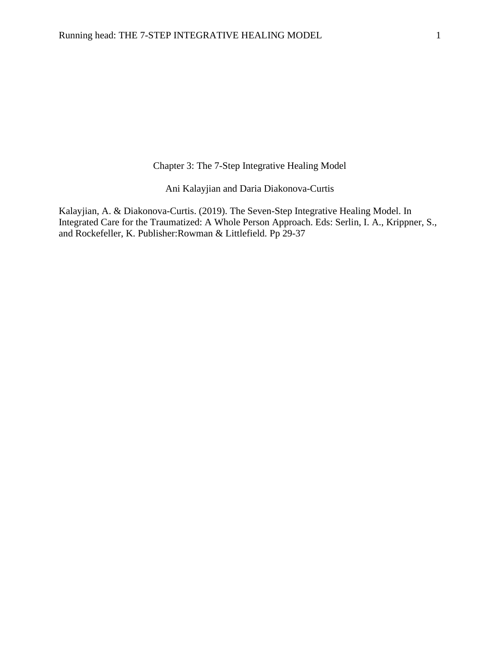Chapter 3: The 7-Step Integrative Healing Model

Ani Kalayjian and Daria Diakonova-Curtis

Kalayjian, A. & Diakonova-Curtis. (2019). The Seven-Step Integrative Healing Model. In Integrated Care for the Traumatized: A Whole Person Approach. Eds: Serlin, I. A., Krippner, S., and Rockefeller, K. Publisher:Rowman & Littlefield. Pp 29-37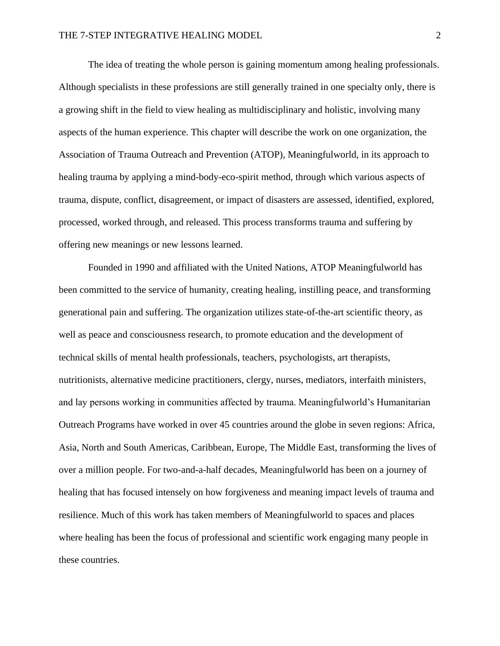The idea of treating the whole person is gaining momentum among healing professionals. Although specialists in these professions are still generally trained in one specialty only, there is a growing shift in the field to view healing as multidisciplinary and holistic, involving many aspects of the human experience. This chapter will describe the work on one organization, the Association of Trauma Outreach and Prevention (ATOP), Meaningfulworld, in its approach to healing trauma by applying a mind-body-eco-spirit method, through which various aspects of trauma, dispute, conflict, disagreement, or impact of disasters are assessed, identified, explored, processed, worked through, and released. This process transforms trauma and suffering by offering new meanings or new lessons learned.

Founded in 1990 and affiliated with the United Nations, ATOP Meaningfulworld has been committed to the service of humanity, creating healing, instilling peace, and transforming generational pain and suffering. The organization utilizes state-of-the-art scientific theory, as well as peace and consciousness research, to promote education and the development of technical skills of mental health professionals, teachers, psychologists, art therapists, nutritionists, alternative medicine practitioners, clergy, nurses, mediators, interfaith ministers, and lay persons working in communities affected by trauma. Meaningfulworld's Humanitarian Outreach Programs have worked in over 45 countries around the globe in seven regions: Africa, Asia, North and South Americas, Caribbean, Europe, The Middle East, transforming the lives of over a million people. For two-and-a-half decades, Meaningfulworld has been on a journey of healing that has focused intensely on how forgiveness and meaning impact levels of trauma and resilience. Much of this work has taken members of Meaningfulworld to spaces and places where healing has been the focus of professional and scientific work engaging many people in these countries.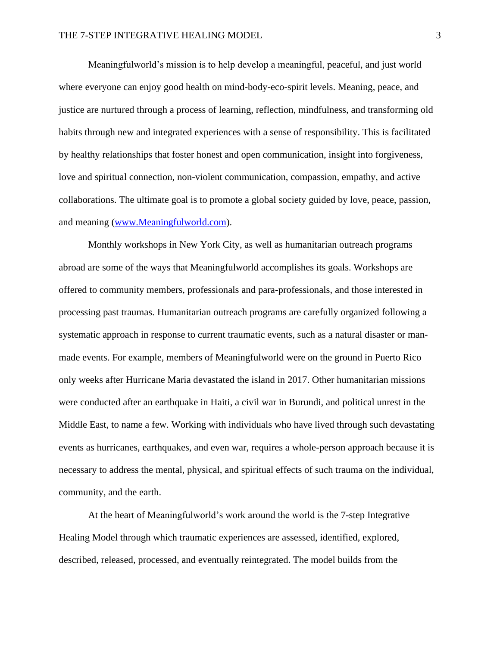Meaningfulworld's mission is to help develop a meaningful, peaceful, and just world where everyone can enjoy good health on mind-body-eco-spirit levels. Meaning, peace, and justice are nurtured through a process of learning, reflection, mindfulness, and transforming old habits through new and integrated experiences with a sense of responsibility. This is facilitated by healthy relationships that foster honest and open communication, insight into forgiveness, love and spiritual connection, non-violent communication, compassion, empathy, and active collaborations. The ultimate goal is to promote a global society guided by love, peace, passion, and meaning [\(www.Meaningfulworld.com\)](http://www.meaningfulworld.com/).

Monthly workshops in New York City, as well as humanitarian outreach programs abroad are some of the ways that Meaningfulworld accomplishes its goals. Workshops are offered to community members, professionals and para-professionals, and those interested in processing past traumas. Humanitarian outreach programs are carefully organized following a systematic approach in response to current traumatic events, such as a natural disaster or manmade events. For example, members of Meaningfulworld were on the ground in Puerto Rico only weeks after Hurricane Maria devastated the island in 2017. Other humanitarian missions were conducted after an earthquake in Haiti, a civil war in Burundi, and political unrest in the Middle East, to name a few. Working with individuals who have lived through such devastating events as hurricanes, earthquakes, and even war, requires a whole-person approach because it is necessary to address the mental, physical, and spiritual effects of such trauma on the individual, community, and the earth.

At the heart of Meaningfulworld's work around the world is the 7-step Integrative Healing Model through which traumatic experiences are assessed, identified, explored, described, released, processed, and eventually reintegrated. The model builds from the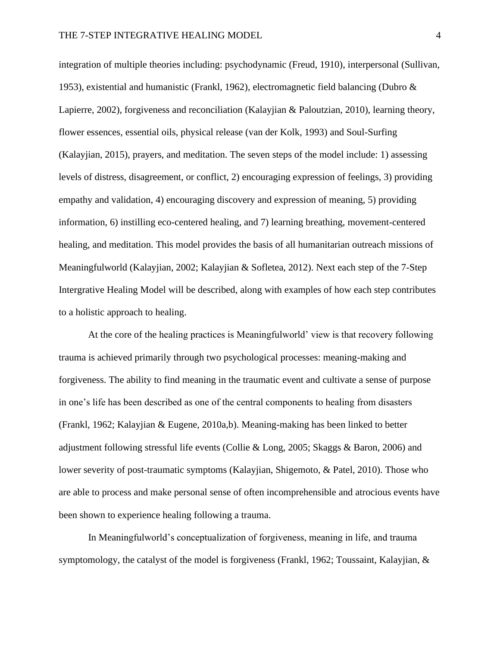integration of multiple theories including: psychodynamic (Freud, 1910), interpersonal (Sullivan, 1953), existential and humanistic (Frankl, 1962), electromagnetic field balancing (Dubro & Lapierre, 2002), forgiveness and reconciliation (Kalayjian & Paloutzian, 2010), learning theory, flower essences, essential oils, physical release (van der Kolk, 1993) and Soul-Surfing (Kalayjian, 2015), prayers, and meditation. The seven steps of the model include: 1) assessing levels of distress, disagreement, or conflict, 2) encouraging expression of feelings, 3) providing empathy and validation, 4) encouraging discovery and expression of meaning, 5) providing information, 6) instilling eco-centered healing, and 7) learning breathing, movement-centered healing, and meditation. This model provides the basis of all humanitarian outreach missions of Meaningfulworld (Kalayjian, 2002; Kalayjian & Sofletea, 2012). Next each step of the 7-Step Intergrative Healing Model will be described, along with examples of how each step contributes to a holistic approach to healing.

At the core of the healing practices is Meaningfulworld' view is that recovery following trauma is achieved primarily through two psychological processes: meaning-making and forgiveness. The ability to find meaning in the traumatic event and cultivate a sense of purpose in one's life has been described as one of the central components to healing from disasters (Frankl, 1962; Kalayjian & Eugene, 2010a,b). Meaning-making has been linked to better adjustment following stressful life events (Collie & Long, 2005; Skaggs & Baron, 2006) and lower severity of post-traumatic symptoms (Kalayjian, Shigemoto, & Patel, 2010). Those who are able to process and make personal sense of often incomprehensible and atrocious events have been shown to experience healing following a trauma.

In Meaningfulworld's conceptualization of forgiveness, meaning in life, and trauma symptomology, the catalyst of the model is forgiveness (Frankl, 1962; Toussaint, Kalayjian, &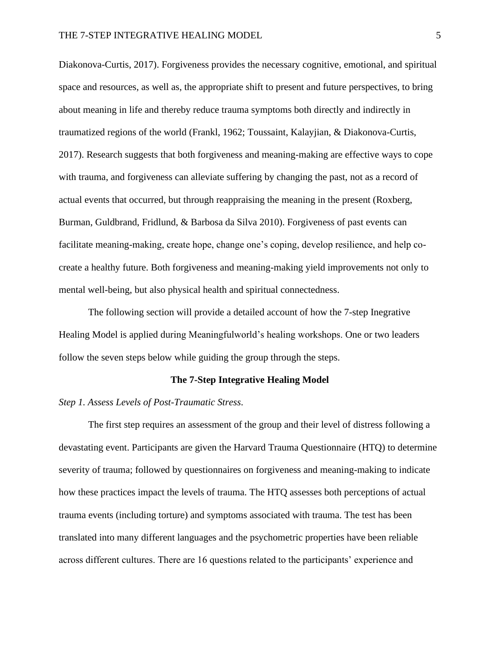Diakonova-Curtis, 2017). Forgiveness provides the necessary cognitive, emotional, and spiritual space and resources, as well as, the appropriate shift to present and future perspectives, to bring about meaning in life and thereby reduce trauma symptoms both directly and indirectly in traumatized regions of the world (Frankl, 1962; Toussaint, Kalayjian, & Diakonova-Curtis, 2017). Research suggests that both forgiveness and meaning-making are effective ways to cope with trauma, and forgiveness can alleviate suffering by changing the past, not as a record of actual events that occurred, but through reappraising the meaning in the present (Roxberg, Burman, Guldbrand, Fridlund, & Barbosa da Silva 2010). Forgiveness of past events can facilitate meaning-making, create hope, change one's coping, develop resilience, and help cocreate a healthy future. Both forgiveness and meaning-making yield improvements not only to mental well-being, but also physical health and spiritual connectedness.

The following section will provide a detailed account of how the 7-step Inegrative Healing Model is applied during Meaningfulworld's healing workshops. One or two leaders follow the seven steps below while guiding the group through the steps.

## **The 7-Step Integrative Healing Model**

# *Step 1. Assess Levels of Post-Traumatic Stress*.

The first step requires an assessment of the group and their level of distress following a devastating event. Participants are given the Harvard Trauma Questionnaire (HTQ) to determine severity of trauma; followed by questionnaires on forgiveness and meaning-making to indicate how these practices impact the levels of trauma. The HTQ assesses both perceptions of actual trauma events (including torture) and symptoms associated with trauma. The test has been translated into many different languages and the psychometric properties have been reliable across different cultures. There are 16 questions related to the participants' experience and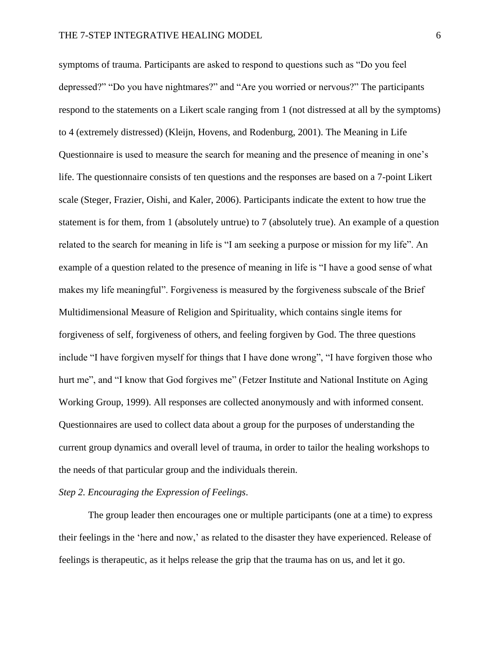symptoms of trauma. Participants are asked to respond to questions such as "Do you feel depressed?" "Do you have nightmares?" and "Are you worried or nervous?" The participants respond to the statements on a Likert scale ranging from 1 (not distressed at all by the symptoms) to 4 (extremely distressed) (Kleijn, Hovens, and Rodenburg, 2001). The Meaning in Life Questionnaire is used to measure the search for meaning and the presence of meaning in one's life. The questionnaire consists of ten questions and the responses are based on a 7-point Likert scale (Steger, Frazier, Oishi, and Kaler, 2006). Participants indicate the extent to how true the statement is for them, from 1 (absolutely untrue) to 7 (absolutely true). An example of a question related to the search for meaning in life is "I am seeking a purpose or mission for my life". An example of a question related to the presence of meaning in life is "I have a good sense of what makes my life meaningful". Forgiveness is measured by the forgiveness subscale of the Brief Multidimensional Measure of Religion and Spirituality, which contains single items for forgiveness of self, forgiveness of others, and feeling forgiven by God. The three questions include "I have forgiven myself for things that I have done wrong", "I have forgiven those who hurt me", and "I know that God forgives me" (Fetzer Institute and National Institute on Aging Working Group, 1999). All responses are collected anonymously and with informed consent. Questionnaires are used to collect data about a group for the purposes of understanding the current group dynamics and overall level of trauma, in order to tailor the healing workshops to the needs of that particular group and the individuals therein.

# *Step 2. Encouraging the Expression of Feelings*.

The group leader then encourages one or multiple participants (one at a time) to express their feelings in the 'here and now,' as related to the disaster they have experienced. Release of feelings is therapeutic, as it helps release the grip that the trauma has on us, and let it go.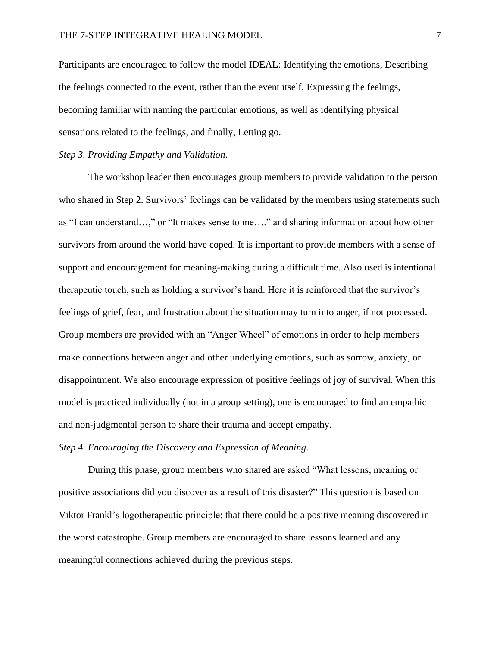Participants are encouraged to follow the model IDEAL: Identifying the emotions, Describing the feelings connected to the event, rather than the event itself, Expressing the feelings, becoming familiar with naming the particular emotions, as well as identifying physical sensations related to the feelings, and finally, Letting go.

## *Step 3. Providing Empathy and Validation*.

The workshop leader then encourages group members to provide validation to the person who shared in Step 2. Survivors' feelings can be validated by the members using statements such as "I can understand…," or "It makes sense to me…." and sharing information about how other survivors from around the world have coped. It is important to provide members with a sense of support and encouragement for meaning-making during a difficult time. Also used is intentional therapeutic touch, such as holding a survivor's hand. Here it is reinforced that the survivor's feelings of grief, fear, and frustration about the situation may turn into anger, if not processed. Group members are provided with an "Anger Wheel" of emotions in order to help members make connections between anger and other underlying emotions, such as sorrow, anxiety, or disappointment. We also encourage expression of positive feelings of joy of survival. When this model is practiced individually (not in a group setting), one is encouraged to find an empathic and non-judgmental person to share their trauma and accept empathy.

## *Step 4. Encouraging the Discovery and Expression of Meaning*.

During this phase, group members who shared are asked "What lessons, meaning or positive associations did you discover as a result of this disaster?" This question is based on Viktor Frankl's logotherapeutic principle: that there could be a positive meaning discovered in the worst catastrophe. Group members are encouraged to share lessons learned and any meaningful connections achieved during the previous steps.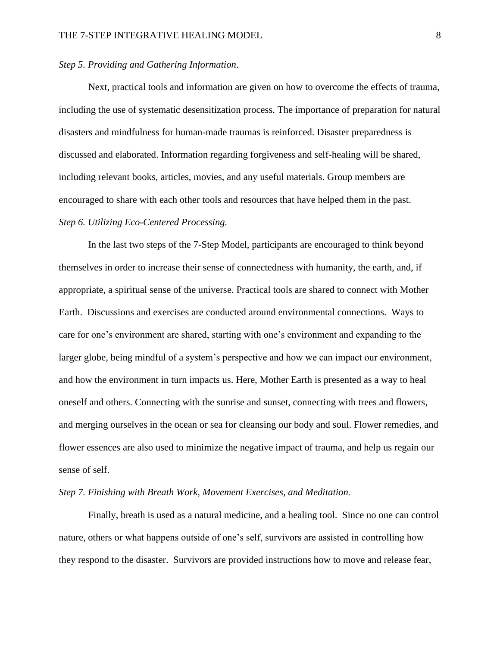## *Step 5. Providing and Gathering Information*.

Next, practical tools and information are given on how to overcome the effects of trauma, including the use of systematic desensitization process. The importance of preparation for natural disasters and mindfulness for human-made traumas is reinforced. Disaster preparedness is discussed and elaborated. Information regarding forgiveness and self-healing will be shared, including relevant books, articles, movies, and any useful materials. Group members are encouraged to share with each other tools and resources that have helped them in the past. *Step 6. Utilizing Eco-Centered Processing.*

In the last two steps of the 7-Step Model, participants are encouraged to think beyond themselves in order to increase their sense of connectedness with humanity, the earth, and, if appropriate, a spiritual sense of the universe. Practical tools are shared to connect with Mother Earth. Discussions and exercises are conducted around environmental connections. Ways to care for one's environment are shared, starting with one's environment and expanding to the larger globe, being mindful of a system's perspective and how we can impact our environment, and how the environment in turn impacts us. Here, Mother Earth is presented as a way to heal oneself and others. Connecting with the sunrise and sunset, connecting with trees and flowers, and merging ourselves in the ocean or sea for cleansing our body and soul. Flower remedies, and flower essences are also used to minimize the negative impact of trauma, and help us regain our sense of self.

#### *Step 7. Finishing with Breath Work, Movement Exercises, and Meditation.*

Finally, breath is used as a natural medicine, and a healing tool. Since no one can control nature, others or what happens outside of one's self, survivors are assisted in controlling how they respond to the disaster. Survivors are provided instructions how to move and release fear,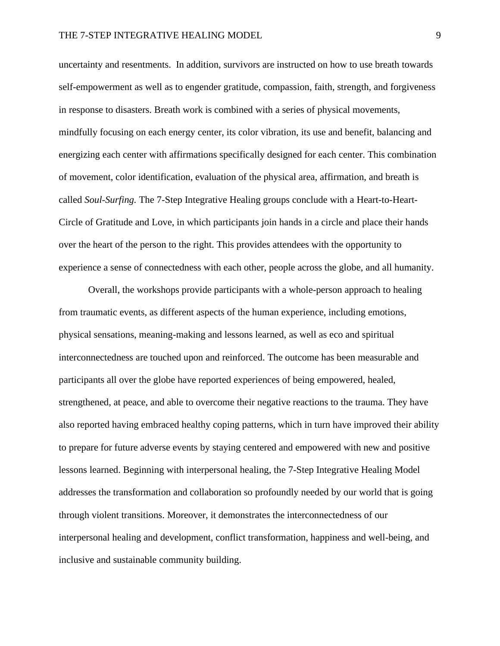uncertainty and resentments. In addition, survivors are instructed on how to use breath towards self-empowerment as well as to engender gratitude, compassion, faith, strength, and forgiveness in response to disasters. Breath work is combined with a series of physical movements, mindfully focusing on each energy center, its color vibration, its use and benefit, balancing and energizing each center with affirmations specifically designed for each center. This combination of movement, color identification, evaluation of the physical area, affirmation, and breath is called *Soul-Surfing.* The 7-Step Integrative Healing groups conclude with a Heart-to-Heart-Circle of Gratitude and Love, in which participants join hands in a circle and place their hands over the heart of the person to the right. This provides attendees with the opportunity to experience a sense of connectedness with each other, people across the globe, and all humanity.

Overall, the workshops provide participants with a whole-person approach to healing from traumatic events, as different aspects of the human experience, including emotions, physical sensations, meaning-making and lessons learned, as well as eco and spiritual interconnectedness are touched upon and reinforced. The outcome has been measurable and participants all over the globe have reported experiences of being empowered, healed, strengthened, at peace, and able to overcome their negative reactions to the trauma. They have also reported having embraced healthy coping patterns, which in turn have improved their ability to prepare for future adverse events by staying centered and empowered with new and positive lessons learned. Beginning with interpersonal healing, the 7-Step Integrative Healing Model addresses the transformation and collaboration so profoundly needed by our world that is going through violent transitions. Moreover, it demonstrates the interconnectedness of our interpersonal healing and development, conflict transformation, happiness and well-being, and inclusive and sustainable community building.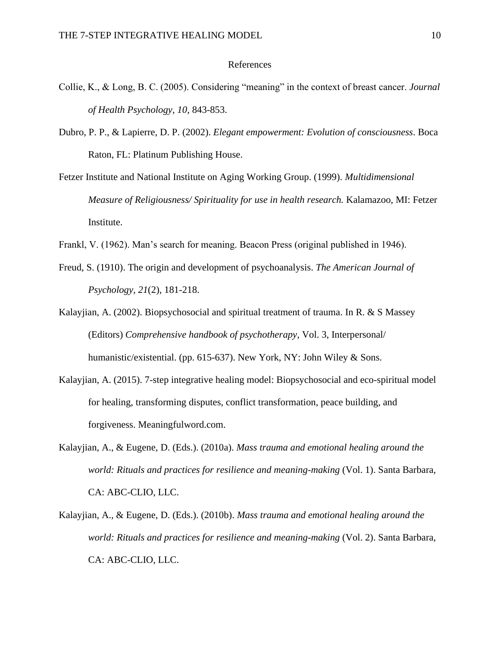## References

- Collie, K., & Long, B. C. (2005). Considering "meaning" in the context of breast cancer. *Journal of Health Psychology, 10*, 843-853.
- Dubro, P. P., & Lapierre, D. P. (2002). *Elegant empowerment: Evolution of consciousness*. Boca Raton, FL: Platinum Publishing House.
- Fetzer Institute and National Institute on Aging Working Group. (1999). *Multidimensional Measure of Religiousness/ Spirituality for use in health research.* Kalamazoo, MI: Fetzer Institute.
- Frankl, V. (1962). Man's search for meaning. Beacon Press (original published in 1946).
- Freud, S. (1910). The origin and development of psychoanalysis. *The American Journal of Psychology, 21*(2), 181-218.
- Kalayjian, A. (2002). Biopsychosocial and spiritual treatment of trauma. In R. & S Massey (Editors) *Comprehensive handbook of psychotherapy*, Vol. 3, Interpersonal/ humanistic/existential. (pp. 615-637). New York, NY: John Wiley & Sons.
- Kalayjian, A. (2015). 7-step integrative healing model: Biopsychosocial and eco-spiritual model for healing, transforming disputes, conflict transformation, peace building, and forgiveness. Meaningfulword.com.
- Kalayjian, A., & Eugene, D. (Eds.). (2010a). *Mass trauma and emotional healing around the world: Rituals and practices for resilience and meaning-making* (Vol. 1). Santa Barbara, CA: ABC-CLIO, LLC.
- Kalayjian, A., & Eugene, D. (Eds.). (2010b). *Mass trauma and emotional healing around the world: Rituals and practices for resilience and meaning-making* (Vol. 2). Santa Barbara, CA: ABC-CLIO, LLC.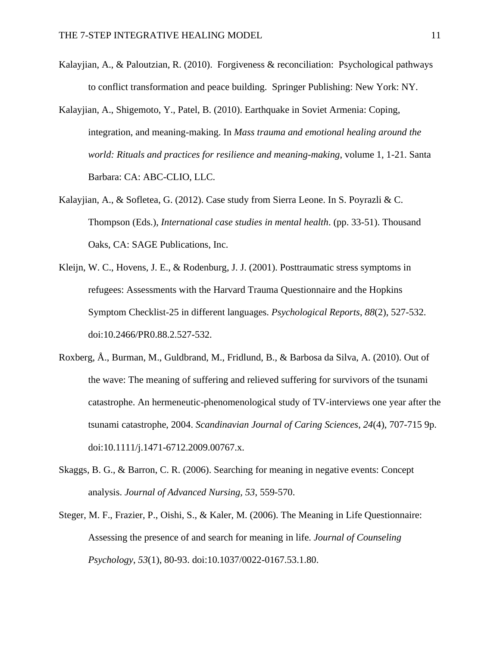- Kalayjian, A., & Paloutzian, R. (2010). Forgiveness & reconciliation: Psychological pathways to conflict transformation and peace building. Springer Publishing: New York: NY.
- Kalayjian, A., Shigemoto, Y., Patel, B. (2010). Earthquake in Soviet Armenia: Coping, integration, and meaning-making. In *Mass trauma and emotional healing around the world: Rituals and practices for resilience and meaning-making*, volume 1, 1-21. Santa Barbara: CA: ABC-CLIO, LLC.
- Kalayjian, A., & Sofletea, G. (2012). Case study from Sierra Leone. In S. Poyrazli & C. Thompson (Eds.), *International case studies in mental health*. (pp. 33-51). Thousand Oaks, CA: SAGE Publications, Inc.
- Kleijn, W. C., Hovens, J. E., & Rodenburg, J. J. (2001). Posttraumatic stress symptoms in refugees: Assessments with the Harvard Trauma Questionnaire and the Hopkins Symptom Checklist-25 in different languages. *Psychological Reports*, *88*(2), 527-532. doi:10.2466/PR0.88.2.527-532.
- Roxberg, Å., Burman, M., Guldbrand, M., Fridlund, B., & Barbosa da Silva, A. (2010). Out of the wave: The meaning of suffering and relieved suffering for survivors of the tsunami catastrophe. An hermeneutic-phenomenological study of TV-interviews one year after the tsunami catastrophe, 2004. *Scandinavian Journal of Caring Sciences*, *24*(4), 707-715 9p. doi:10.1111/j.1471-6712.2009.00767.x.
- Skaggs, B. G., & Barron, C. R. (2006). Searching for meaning in negative events: Concept analysis. *Journal of Advanced Nursing, 53*, 559-570.
- Steger, M. F., Frazier, P., Oishi, S., & Kaler, M. (2006). The Meaning in Life Questionnaire: Assessing the presence of and search for meaning in life. *Journal of Counseling Psychology*, *53*(1), 80-93. doi:10.1037/0022-0167.53.1.80.